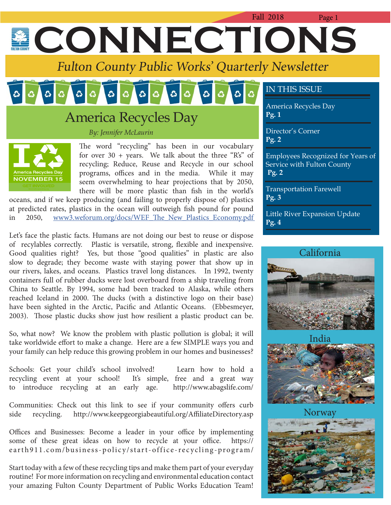# Fall 2018 Page 1 **ECONNECTIONS**

Fulton County Public Works' Quarterly Newsletter

#### $\sigma$  $|\mathcal{L}|$  $\circ$   $\circ$  $\mathbf{c}$

## America Recycles Day

*By: Jennifer McLaurin*



The word "recycling" has been in our vocabulary for over  $30 + \text{years}$ . We talk about the three "R's" of recycling; Reduce, Reuse and Recycle in our school programs, offices and in the media. While it may seem overwhelming to hear projections that by 2050, there will be more plastic than fish in the world's

oceans, and if we keep producing (and failing to properly dispose of) plastics at predicted rates, plastics in the ocean will outweigh fish pound for pound in 2050, www3.weforum.org/docs/WEF\_The\_New\_Plastics\_Economy.pdf

Let's face the plastic facts. Humans are not doing our best to reuse or dispose of recylables correctly. Plastic is versatile, strong, flexible and inexpensive. Good qualities right? Yes, but those "good qualities" in plastic are also slow to degrade; they become waste with staying power that show up in our rivers, lakes, and oceans. Plastics travel long distances. In 1992, twenty containers full of rubber ducks were lost overboard from a ship traveling from China to Seattle. By 1994, some had been tracked to Alaska, while others reached Iceland in 2000. The ducks (with a distinctive logo on their base) have been sighted in the Arctic, Pacific and Atlantic Oceans. (Ebbesmeyer, 2003). Those plastic ducks show just how resilient a plastic product can be.

So, what now? We know the problem with plastic pollution is global; it will take worldwide effort to make a change. Here are a few SIMPLE ways you and your family can help reduce this growing problem in our homes and businesses?

Schools: Get your child's school involved! Learn how to hold a recycling event at your school! It's simple, free and a great way to introduce recycling at an early age. http://www.abagslife.com/

Communities: Check out this link to see if your community offers curb side recycling. http://www.keepgeorgiabeautiful.org/AffiliateDirectory.asp

Offices and Businesses: Become a leader in your office by implementing some of these great ideas on how to recycle at your office. https:// e arth 911.com/business-policy/start-office-recycling-program/

Start today with a few of these recycling tips and make them part of your everyday routine! For more information on recycling and environmental education contact your amazing Fulton County Department of Public Works Education Team!

### IN THIS ISSUE

America Recycles Day **Pg. 1**

Director's Corner **Pg. 2**

Employees Recognized for Years of Service with Fulton County **Pg. 2**

Transportation Farewell **Pg. 3**

Little River Expansion Update **Pg. 4**





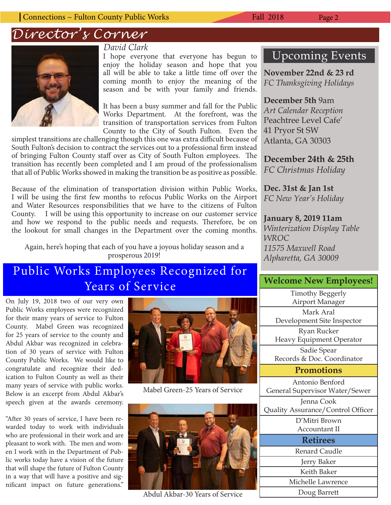*Director's Corner*



#### *David Clark*

I hope everyone that everyone has begun to enjoy the holiday season and hope that you all will be able to take a little time off over the coming month to enjoy the meaning of the season and be with your family and friends.

It has been a busy summer and fall for the Public Works Department. At the forefront, was the transition of transportation services from Fulton County to the City of South Fulton. Even the

simplest transitions are challenging though this one was extra difficult because of South Fulton's decision to contract the services out to a professional firm instead of bringing Fulton County staff over as City of South Fulton employees. The transition has recently been completed and I am proud of the professionalism that all of Public Works showed in making the transition be as positive as possible.

Because of the elimination of transportation division within Public Works, I will be using the first few months to refocus Public Works on the Airport and Water Resources responsibilities that we have to the citizens of Fulton County. I will be using this opportunity to increase on our customer service and how we respond to the public needs and requests. Therefore, be on the lookout for small changes in the Department over the coming months.

Again, here's hoping that each of you have a joyous holiday season and a prosperous 2019!

### Public Works Employees Recognized for Years of Service

On July 19, 2018 two of our very own Public Works employees were recognized for their many years of service to Fulton County. Mabel Green was recognized for 25 years of service to the county and Abdul Akbar was recognized in celebration of 30 years of service with Fulton County Public Works. We would like to congratulate and recognize their dedication to Fulton County as well as their many years of service with public works. Below is an excerpt from Abdul Akbar's speech given at the awards ceremony.

"After 30 years of service, I have been rewarded today to work with individuals who are professional in their work and are pleasant to work with. The men and women I work with in the Department of Public works today have a vision of the future that will shape the future of Fulton County in a way that will have a positive and significant impact on future generations."



Mabel Green-25 Years of Service



Abdul Akbar-30 Years of Service

### Upcoming Events

**November 22nd & 23 rd** *FC Thanksgiving Holidays* 

**December 5th** 9am *Art Calendar Reception* Peachtree Level Cafe' 41 Pryor St SW Atlanta, GA 30303

**December 24th & 25th** *FC Christmas Holiday*

**Dec. 31st & Jan 1st** *FC New Year's Holiday*

#### **January 8, 2019 11am**

*Winterization Display Table WROC 11575 Maxwell Road Alpharetta, GA 30009*

#### **Welcome New Employees!**

Timothy Beggerly Airport Manager Mark Aral Development Site Inspector

Ryan Rucker Heavy Equipment Operator

Sadie Spear Records & Doc. Coordinator

#### **Promotions**

Antonio Benford General Supervisor Water/Sewer

Jenna Cook Quality Assurance/Control Officer

D'Mitri Brown Accountant II

| Accountant II     |
|-------------------|
| <b>Retirees</b>   |
| Renard Caudle     |
| Jerry Baker       |
| Keith Baker       |
| Michelle Lawrence |
|                   |

Doug Barrett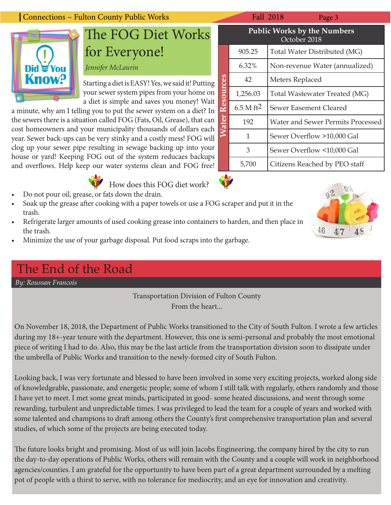#### Connections ~ Fulton County Public Works Fall 2018 Fall 2018 Page 3

## The FOG Diet Works for Everyone!

*Jennifer McLaurin*

Starting a diet is EASY! Yes, we said it! Putting your sewer system pipes from your home on a diet is simple and saves you money! Wait

a minute, why am I telling you to put the sewer system on a diet? In the sewers there is a situation called FOG (Fats, Oil, Grease), that can cost homeowners and your municipality thousands of dollars each year. Sewer back-ups can be very stinky and a costly mess! FOG will clog up your sewer pipe resulting in sewage backing up into your house or yard! Keeping FOG out of the system reducaes backups and overflows. Help keep our water systems clean and FOG free!

How does this FOG diet work?

- Do not pour oil, grease, or fats down the drain.
- Soak up the grease after cooking with a paper towels or use a FOG scraper and put it in the trash.
- Refrigerate larger amounts of used cooking grease into containers to harden, and then place in the trash.
- Minimize the use of your garbage disposal. Put food scraps into the garbage.

### The End of the Road

*By: Roussan Francois*

**Know?** 

Transportation Division of Fulton County From the heart...

On November 18, 2018, the Department of Public Works transitioned to the City of South Fulton. I wrote a few articles during my 18+-year tenure with the department. However, this one is semi-personal and probably the most emotional piece of writing I had to do. Also, this may be the last article from the transportation division soon to dissipate under the umbrella of Public Works and transition to the newly-formed city of South Fulton.

Looking back, I was very fortunate and blessed to have been involved in some very exciting projects, worked along side of knowledgeable, passionate, and energetic people; some of whom I still talk with regularly, others randomly and those I have yet to meet. I met some great minds, participated in good- some heated discussions, and went through some rewarding, turbulent and unpredictable times. I was privileged to lead the team for a couple of years and worked with some talented and champions to draft among others the County's first comprehensive transportation plan and several studies, of which some of the projects are being executed today.

The future looks bright and promising. Most of us will join Jacobs Engineering, the company hired by the city to run the day-to-day operations of Public Works, others will remain with the County and a couple will work in neighborhood agencies/counties. I am grateful for the opportunity to have been part of a great department surrounded by a melting pot of people with a thirst to serve, with no tolerance for mediocrity, and an eye for innovation and creativity.